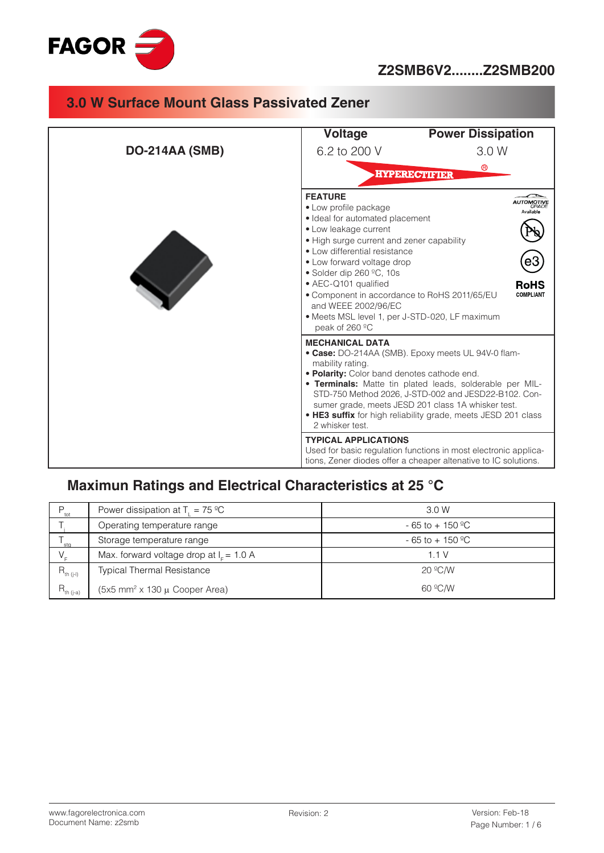

## **Z2SMB6V2........Z2SMB200**

# **3.0 W Surface Mount Glass Passivated Zener**

|                       | Voltage                                                                                                                                                                                                                                                                                                                                                                                                                  | <b>Power Dissipation</b>                                                                                                                                                                                                                                                                      |
|-----------------------|--------------------------------------------------------------------------------------------------------------------------------------------------------------------------------------------------------------------------------------------------------------------------------------------------------------------------------------------------------------------------------------------------------------------------|-----------------------------------------------------------------------------------------------------------------------------------------------------------------------------------------------------------------------------------------------------------------------------------------------|
| <b>DO-214AA (SMB)</b> | 6.2 to 200 V                                                                                                                                                                                                                                                                                                                                                                                                             | 3.0 W                                                                                                                                                                                                                                                                                         |
|                       |                                                                                                                                                                                                                                                                                                                                                                                                                          | $^{\circledR}$<br><b>HYPERECTIFIER</b>                                                                                                                                                                                                                                                        |
|                       | <b>FEATURE</b><br>• Low profile package<br>· Ideal for automated placement<br>· Low leakage current<br>• High surge current and zener capability<br>• Low differential resistance<br>• Low forward voltage drop<br>• Solder dip 260 $^{\circ}$ C, 10s<br>• AEC-Q101 qualified<br>• Component in accordance to RoHS 2011/65/EU<br>and WEEE 2002/96/EC<br>• Meets MSL level 1, per J-STD-020, LF maximum<br>peak of 260 °C | RoHS<br><b>COMPLIANT</b>                                                                                                                                                                                                                                                                      |
|                       | <b>MECHANICAL DATA</b><br>mability rating.<br>. Polarity: Color band denotes cathode end.<br>2 whisker test.                                                                                                                                                                                                                                                                                                             | • Case: DO-214AA (SMB). Epoxy meets UL 94V-0 flam-<br>• Terminals: Matte tin plated leads, solderable per MIL-<br>STD-750 Method 2026, J-STD-002 and JESD22-B102. Con-<br>sumer grade, meets JESD 201 class 1A whisker test.<br>• HE3 suffix for high reliability grade, meets JESD 201 class |
|                       | <b>TYPICAL APPLICATIONS</b>                                                                                                                                                                                                                                                                                                                                                                                              | Used for basic regulation functions in most electronic applica-<br>tions, Zener diodes offer a cheaper altenative to IC solutions.                                                                                                                                                            |

# **Maximun Ratings and Electrical Characteristics at 25 °C**

| P.<br>tot             | Power dissipation at $T_1 = 75 \,^{\circ}\text{C}$ | 3.0 W                          |  |  |
|-----------------------|----------------------------------------------------|--------------------------------|--|--|
|                       | Operating temperature range                        | $-65$ to $+150$ <sup>o</sup> C |  |  |
| sta                   | Storage temperature range                          | $-65$ to $+150$ <sup>o</sup> C |  |  |
|                       | Max. forward voltage drop at $I_c = 1.0 A$         | 1 1 V                          |  |  |
| $R_{\text{th (j-l)}}$ | <b>Typical Thermal Resistance</b>                  | $20^{\circ}$ C/W               |  |  |
| $R_{th (j-a)}$        | $(5x5$ mm <sup>2</sup> x 130 $\mu$ Cooper Area)    | 60 °C/W                        |  |  |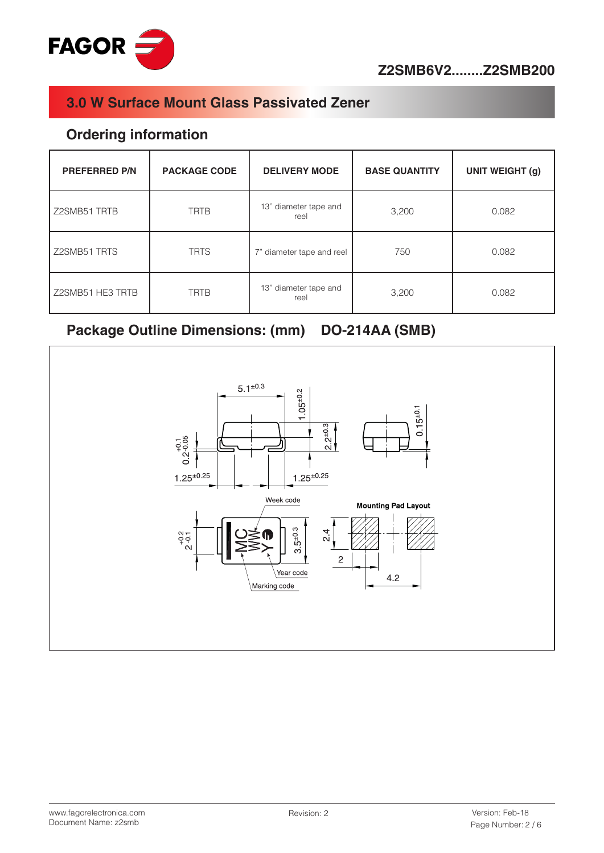

#### **Ordering information**

| <b>PREFERRED P/N</b> | <b>PACKAGE CODE</b> | <b>DELIVERY MODE</b>          | <b>BASE QUANTITY</b> | <b>UNIT WEIGHT (g)</b> |  |
|----------------------|---------------------|-------------------------------|----------------------|------------------------|--|
| Z2SMB51 TRTB         | <b>TRTB</b>         | 13" diameter tape and<br>reel | 3,200                | 0.082                  |  |
| Z2SMB51 TRTS         | <b>TRTS</b>         | 7" diameter tape and reel     | 750                  | 0.082                  |  |
| Z2SMB51 HE3 TRTB     | <b>TRTB</b>         | 13" diameter tape and<br>reel | 3,200                | 0.082                  |  |

# Package Outline Dimensions: (mm) DO-214AA (SMB)

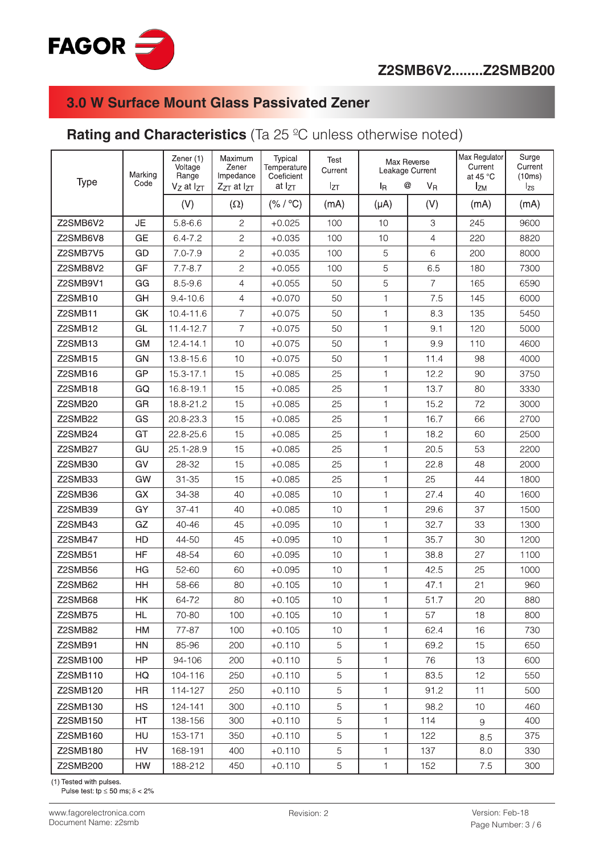

## **Rating and Characteristics** (Ta 25 ºC unless otherwise noted)

| <b>Type</b> | Marking<br>Code | Zener (1)<br>Voltage<br>Range<br>$V_Z$ at $I_{ZT}$ | Maximum<br>Zener<br>Impedance<br>$Z_{ZT}$ at $I_{ZT}$ | Typical<br>Temperature<br>Coeficient<br>at $I_{ZT}$ | Test<br>Current<br>$I_{ZT}$ | <b>l</b> <sub>R</sub> | Max Reverse<br>Leakage Current<br>@<br>$V_{R}$ | Max Regulator<br>Current<br>at 45 $\degree$ C<br><b>IzM</b> | Surge<br>Current<br>(10ms)<br>$I_{\text{zs}}$ |
|-------------|-----------------|----------------------------------------------------|-------------------------------------------------------|-----------------------------------------------------|-----------------------------|-----------------------|------------------------------------------------|-------------------------------------------------------------|-----------------------------------------------|
|             |                 | (V)                                                | $(\Omega)$                                            | (% / °C)                                            | (mA)                        | $(\mu A)$             | (V)                                            | (mA)                                                        | (mA)                                          |
| Z2SMB6V2    | JE              | $5.8 - 6.6$                                        | $\mathbf{2}$                                          | $+0.025$                                            | 100                         | 10                    | 3                                              | 245                                                         | 9600                                          |
| Z2SMB6V8    | <b>GE</b>       | $6.4 - 7.2$                                        | $\overline{c}$                                        | $+0.035$                                            | 100                         | 10                    | $\overline{4}$                                 | 220                                                         | 8820                                          |
| Z2SMB7V5    | GD              | $7.0 - 7.9$                                        | $\sqrt{2}$                                            | $+0.035$                                            | 100                         | 5                     | 6                                              | 200                                                         | 8000                                          |
| Z2SMB8V2    | GF              | $7.7 - 8.7$                                        | $\mathbf{2}$                                          | $+0.055$                                            | 100                         | 5                     | 6.5                                            | 180                                                         | 7300                                          |
| Z2SMB9V1    | GG              | $8.5 - 9.6$                                        | $\overline{4}$                                        | $+0.055$                                            | 50                          | 5                     | $\overline{7}$                                 | 165                                                         | 6590                                          |
| Z2SMB10     | GH              | $9.4 - 10.6$                                       | $\overline{4}$                                        | $+0.070$                                            | 50                          | $\mathbf{1}$          | 7.5                                            | 145                                                         | 6000                                          |
| Z2SMB11     | GK              | 10.4-11.6                                          | $\overline{\mathcal{I}}$                              | $+0.075$                                            | 50                          | $\mathbf{1}$          | 8.3                                            | 135                                                         | 5450                                          |
| Z2SMB12     | GL              | 11.4-12.7                                          | $\overline{7}$                                        | $+0.075$                                            | 50                          | 1                     | 9.1                                            | 120                                                         | 5000                                          |
| Z2SMB13     | GM              | $12.4 - 14.1$                                      | 10                                                    | $+0.075$                                            | 50                          | $\mathbf{1}$          | 9.9                                            | 110                                                         | 4600                                          |
| Z2SMB15     | GN              | 13.8-15.6                                          | 10                                                    | $+0.075$                                            | 50                          | $\mathbf{1}$          | 11.4                                           | 98                                                          | 4000                                          |
| Z2SMB16     | GP              | $15.3 - 17.1$                                      | 15                                                    | $+0.085$                                            | 25                          | 1                     | 12.2                                           | 90                                                          | 3750                                          |
| Z2SMB18     | GQ              | 16.8-19.1                                          | 15                                                    | $+0.085$                                            | 25                          | $\mathbf{1}$          | 13.7                                           | 80                                                          | 3330                                          |
| Z2SMB20     | GR              | 18.8-21.2                                          | 15                                                    | $+0.085$                                            | 25                          | 1                     | 15.2                                           | 72                                                          | 3000                                          |
| Z2SMB22     | GS              | 20.8-23.3                                          | 15                                                    | $+0.085$                                            | 25                          | $\mathbf{1}$          | 16.7                                           | 66                                                          | 2700                                          |
| Z2SMB24     | GT              | 22.8-25.6                                          | 15                                                    | $+0.085$                                            | 25                          | 1                     | 18.2                                           | 60                                                          | 2500                                          |
| Z2SMB27     | GU              | 25.1-28.9                                          | 15                                                    | $+0.085$                                            | 25                          | 1                     | 20.5                                           | 53                                                          | 2200                                          |
| Z2SMB30     | GV              | 28-32                                              | 15                                                    | $+0.085$                                            | 25                          | $\mathbf{1}$          | 22.8                                           | 48                                                          | 2000                                          |
| Z2SMB33     | GW              | $31 - 35$                                          | 15                                                    | $+0.085$                                            | 25                          | $\mathbf{1}$          | 25                                             | 44                                                          | 1800                                          |
| Z2SMB36     | GX              | 34-38                                              | 40                                                    | $+0.085$                                            | 10                          | $\mathbf{1}$          | 27.4                                           | 40                                                          | 1600                                          |
| Z2SMB39     | GY              | $37 - 41$                                          | 40                                                    | $+0.085$                                            | 10                          | 1                     | 29.6                                           | 37                                                          | 1500                                          |
| Z2SMB43     | GZ              | 40-46                                              | 45                                                    | $+0.095$                                            | 10                          | $\mathbf{1}$          | 32.7                                           | 33                                                          | 1300                                          |
| Z2SMB47     | HD              | 44-50                                              | 45                                                    | $+0.095$                                            | 10                          | $\mathbf{1}$          | 35.7                                           | 30                                                          | 1200                                          |
| Z2SMB51     | HF              | 48-54                                              | 60                                                    | $+0.095$                                            | 10                          | $\mathbf{1}$          | 38.8                                           | 27                                                          | 1100                                          |
| Z2SMB56     | ΗG              | 52-60                                              | 60                                                    | $+0.095$                                            | 10                          | $\mathbf{1}$          | 42.5                                           | 25                                                          | 1000                                          |
| Z2SMB62     | HH              | 58-66                                              | 80                                                    | $+0.105$                                            | 10                          | $\mathbf{1}$          | 47.1                                           | 21                                                          | 960                                           |
| Z2SMB68     | HΚ              | 64-72                                              | 80                                                    | $+0.105$                                            | 10                          | 1                     | 51.7                                           | 20                                                          | 880                                           |
| Z2SMB75     | HL.             | 70-80                                              | 100                                                   | $+0.105$                                            | 10                          | $\mathbf{1}$          | 57                                             | 18                                                          | 800                                           |
| Z2SMB82     | НM              | 77-87                                              | 100                                                   | $+0.105$                                            | 10                          | $\mathbf{1}$          | 62.4                                           | 16                                                          | 730                                           |
| Z2SMB91     | <b>HN</b>       | 85-96                                              | 200                                                   | $+0.110$                                            | 5                           | $\mathbf{1}$          | 69.2                                           | 15                                                          | 650                                           |
| Z2SMB100    | HP              | 94-106                                             | 200                                                   | $+0.110$                                            | 5                           | $\mathbf{1}$          | 76                                             | 13                                                          | 600                                           |
| Z2SMB110    | HQ              | 104-116                                            | 250                                                   | $+0.110$                                            | 5                           | $\mathbf{1}$          | 83.5                                           | 12                                                          | 550                                           |
| Z2SMB120    | HR              | 114-127                                            | 250                                                   | $+0.110$                                            | 5                           | $\mathbf{1}$          | 91.2                                           | 11                                                          | 500                                           |
| Z2SMB130    | <b>HS</b>       | 124-141                                            | 300                                                   | $+0.110$                                            | 5                           | 1.                    | 98.2                                           | 10                                                          | 460                                           |
| Z2SMB150    | HT              | 138-156                                            | 300                                                   | $+0.110$                                            | 5                           | 1                     | 114                                            | 9                                                           | 400                                           |
| Z2SMB160    | <b>HU</b>       | 153-171                                            | 350                                                   | $+0.110$                                            | 5                           | $\mathbf{1}$          | 122                                            | 8.5                                                         | 375                                           |
| Z2SMB180    | HV              | 168-191                                            | 400                                                   | $+0.110$                                            | 5                           | $\mathbf{1}$          | 137                                            | 8.0                                                         | 330                                           |
| Z2SMB200    | HW              | 188-212                                            | 450                                                   | $+0.110$                                            | 5                           | $\mathbf{1}$          | 152                                            | 7.5                                                         | 300                                           |

(1) Tested with pulses.

Pulse test: tp  $\leq$  50 ms;  $\delta$  < 2%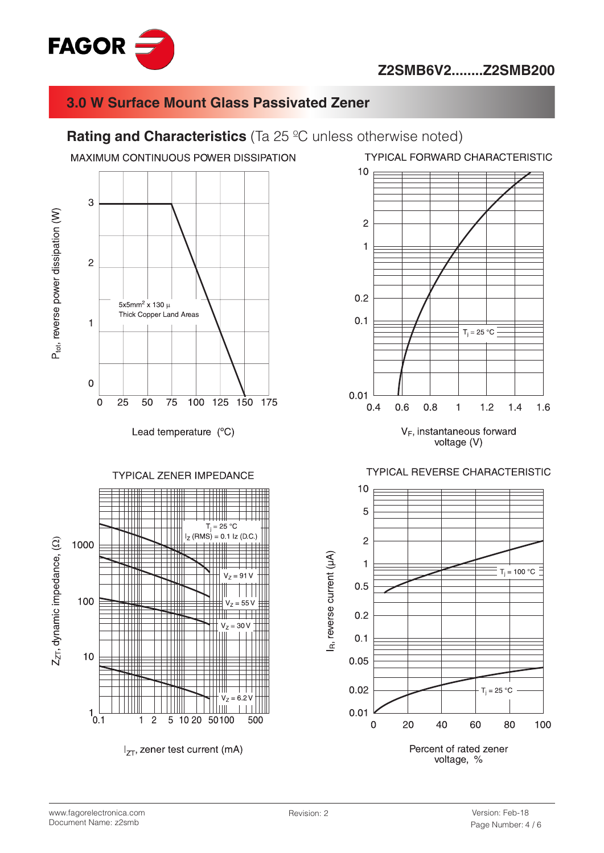

#### **Rating and Characteristics** (Ta 25 °C unless otherwise noted)

MAXIMUM CONTINUOUS POWER DISSIPATION



Lead temperature (°C)

**TYPICAL ZENER IMPEDANCE** 



**TYPICAL FORWARD CHARACTERISTIC** 



voltage (V)

#### **TYPICAL REVERSE CHARACTERISTIC**



www.fagorelectronica.com Document Name: z2smb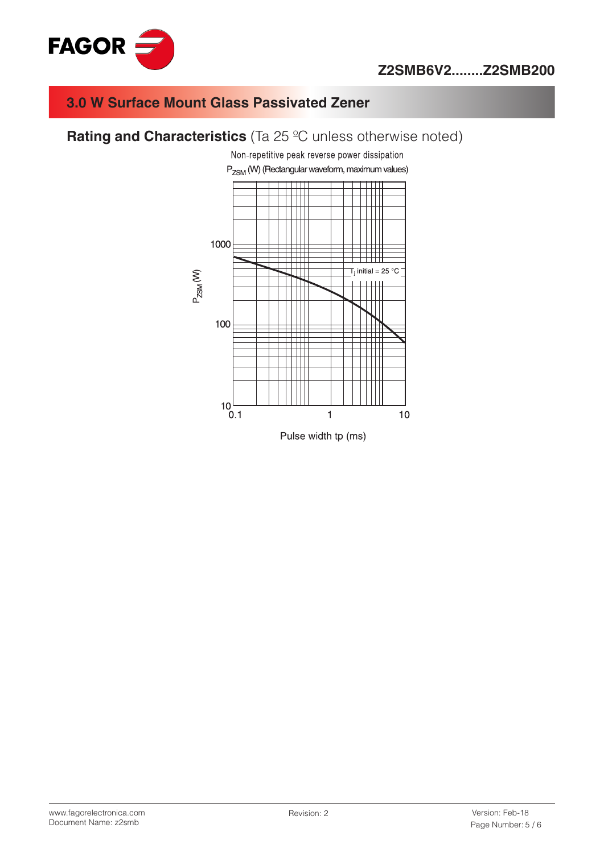



### **Rating and Characteristics** (Ta 25 °C unless otherwise noted)



www.fagorelectronica.com Document Name: z2smb